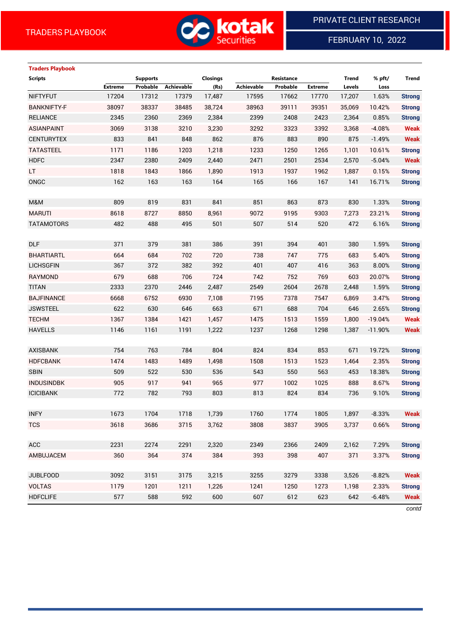

# FEBRUARY 10, 2022

# **Traders Playbook**

| <b>Scripts</b>     |         | <b>Supports</b> |                   | <b>Closings</b> |            | Resistance |                | <b>Trend</b> | % pft/    | <b>Trend</b>  |
|--------------------|---------|-----------------|-------------------|-----------------|------------|------------|----------------|--------------|-----------|---------------|
|                    | Extreme | Probable        | <b>Achievable</b> | (Rs)            | Achievable | Probable   | <b>Extreme</b> | Levels       | Loss      |               |
| <b>NIFTYFUT</b>    | 17204   | 17312           | 17379             | 17,487          | 17595      | 17662      | 17770          | 17,207       | 1.63%     | <b>Strong</b> |
| <b>BANKNIFTY-F</b> | 38097   | 38337           | 38485             | 38,724          | 38963      | 39111      | 39351          | 35,069       | 10.42%    | <b>Strong</b> |
| <b>RELIANCE</b>    | 2345    | 2360            | 2369              | 2,384           | 2399       | 2408       | 2423           | 2,364        | 0.85%     | <b>Strong</b> |
| <b>ASIANPAINT</b>  | 3069    | 3138            | 3210              | 3,230           | 3292       | 3323       | 3392           | 3,368        | $-4.08%$  | <b>Weak</b>   |
| <b>CENTURYTEX</b>  | 833     | 841             | 848               | 862             | 876        | 883        | 890            | 875          | $-1.49%$  | <b>Weak</b>   |
| <b>TATASTEEL</b>   | 1171    | 1186            | 1203              | 1,218           | 1233       | 1250       | 1265           | 1,101        | 10.61%    | <b>Strong</b> |
| <b>HDFC</b>        | 2347    | 2380            | 2409              | 2,440           | 2471       | 2501       | 2534           | 2,570        | $-5.04%$  | <b>Weak</b>   |
| LT.                | 1818    | 1843            | 1866              | 1,890           | 1913       | 1937       | 1962           | 1,887        | 0.15%     | <b>Strong</b> |
| ONGC               | 162     | 163             | 163               | 164             | 165        | 166        | 167            | 141          | 16.71%    | <b>Strong</b> |
|                    |         |                 |                   |                 |            |            |                |              |           |               |
| M&M                | 809     | 819             | 831               | 841             | 851        | 863        | 873            | 830          | 1.33%     | <b>Strong</b> |
| <b>MARUTI</b>      | 8618    | 8727            | 8850              | 8,961           | 9072       | 9195       | 9303           | 7,273        | 23.21%    | <b>Strong</b> |
| <b>TATAMOTORS</b>  | 482     | 488             | 495               | 501             | 507        | 514        | 520            | 472          | 6.16%     | <b>Strong</b> |
|                    |         |                 |                   |                 |            |            |                |              |           |               |
| <b>DLF</b>         | 371     | 379             | 381               | 386             | 391        | 394        | 401            | 380          | 1.59%     | <b>Strong</b> |
| <b>BHARTIARTL</b>  | 664     | 684             | 702               | 720             | 738        | 747        | 775            | 683          | 5.40%     | <b>Strong</b> |
| <b>LICHSGFIN</b>   | 367     | 372             | 382               | 392             | 401        | 407        | 416            | 363          | 8.00%     | <b>Strong</b> |
| <b>RAYMOND</b>     | 679     | 688             | 706               | 724             | 742        | 752        | 769            | 603          | 20.07%    | <b>Strong</b> |
| <b>TITAN</b>       | 2333    | 2370            | 2446              | 2,487           | 2549       | 2604       | 2678           | 2,448        | 1.59%     | <b>Strong</b> |
| <b>BAJFINANCE</b>  | 6668    | 6752            | 6930              | 7,108           | 7195       | 7378       | 7547           | 6,869        | 3.47%     | <b>Strong</b> |
| <b>JSWSTEEL</b>    | 622     | 630             | 646               | 663             | 671        | 688        | 704            | 646          | 2.65%     | <b>Strong</b> |
| <b>TECHM</b>       | 1367    | 1384            | 1421              | 1,457           | 1475       | 1513       | 1559           | 1,800        | $-19.04%$ | <b>Weak</b>   |
| <b>HAVELLS</b>     | 1146    | 1161            | 1191              | 1,222           | 1237       | 1268       | 1298           | 1,387        | $-11.90%$ | <b>Weak</b>   |
|                    |         |                 |                   |                 |            |            |                |              |           |               |
| <b>AXISBANK</b>    | 754     | 763             | 784               | 804             | 824        | 834        | 853            | 671          | 19.72%    | <b>Strong</b> |
| <b>HDFCBANK</b>    | 1474    | 1483            | 1489              | 1,498           | 1508       | 1513       | 1523           | 1,464        | 2.35%     | <b>Strong</b> |
| <b>SBIN</b>        | 509     | 522             | 530               | 536             | 543        | 550        | 563            | 453          | 18.38%    | <b>Strong</b> |
| <b>INDUSINDBK</b>  | 905     | 917             | 941               | 965             | 977        | 1002       | 1025           | 888          | 8.67%     | <b>Strong</b> |
| <b>ICICIBANK</b>   | 772     | 782             | 793               | 803             | 813        | 824        | 834            | 736          | 9.10%     | <b>Strong</b> |
|                    |         |                 |                   |                 |            |            |                |              |           |               |
| <b>INFY</b>        | 1673    | 1704            | 1718              | 1,739           | 1760       | 1774       | 1805           | 1,897        | $-8.33%$  | Weak          |
| <b>TCS</b>         | 3618    | 3686            | 3715              | 3,762           | 3808       | 3837       | 3905           | 3,737        | 0.66%     | <b>Strong</b> |
|                    |         |                 |                   |                 |            |            |                |              |           |               |
| <b>ACC</b>         | 2231    | 2274            | 2291              | 2,320           | 2349       | 2366       | 2409           | 2,162        | 7.29%     | <b>Strong</b> |
| AMBUJACEM          | 360     | 364             | 374               | 384             | 393        | 398        | 407            | 371          | 3.37%     | <b>Strong</b> |
|                    |         |                 |                   |                 |            |            |                |              |           |               |
| <b>JUBLFOOD</b>    | 3092    | 3151            | 3175              | 3,215           | 3255       | 3279       | 3338           | 3,526        | $-8.82%$  | <b>Weak</b>   |
| <b>VOLTAS</b>      | 1179    | 1201            | 1211              | 1,226           | 1241       | 1250       | 1273           | 1,198        | 2.33%     | <b>Strong</b> |
| <b>HDFCLIFE</b>    | 577     | 588             | 592               | 600             | 607        | 612        | 623            | 642          | $-6.48%$  | <b>Weak</b>   |
|                    |         |                 |                   |                 |            |            |                |              |           |               |

*contd*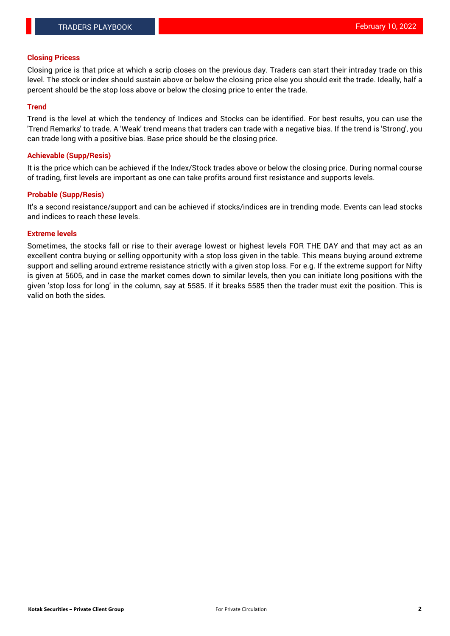# **Closing Pricess**

Closing price is that price at which a scrip closes on the previous day. Traders can start their intraday trade on this level. The stock or index should sustain above or below the closing price else you should exit the trade. Ideally, half a percent should be the stop loss above or below the closing price to enter the trade.

# **Trend**

Trend is the level at which the tendency of Indices and Stocks can be identified. For best results, you can use the 'Trend Remarks' to trade. A 'Weak' trend means that traders can trade with a negative bias. If the trend is 'Strong', you can trade long with a positive bias. Base price should be the closing price.

# **Achievable (Supp/Resis)**

It is the price which can be achieved if the Index/Stock trades above or below the closing price. During normal course of trading, first levels are important as one can take profits around first resistance and supports levels.

# **Probable (Supp/Resis)**

It's a second resistance/support and can be achieved if stocks/indices are in trending mode. Events can lead stocks and indices to reach these levels.

#### **Extreme levels**

Sometimes, the stocks fall or rise to their average lowest or highest levels FOR THE DAY and that may act as an excellent contra buying or selling opportunity with a stop loss given in the table. This means buying around extreme support and selling around extreme resistance strictly with a given stop loss. For e.g. If the extreme support for Nifty is given at 5605, and in case the market comes down to similar levels, then you can initiate long positions with the given 'stop loss for long' in the column, say at 5585. If it breaks 5585 then the trader must exit the position. This is valid on both the sides.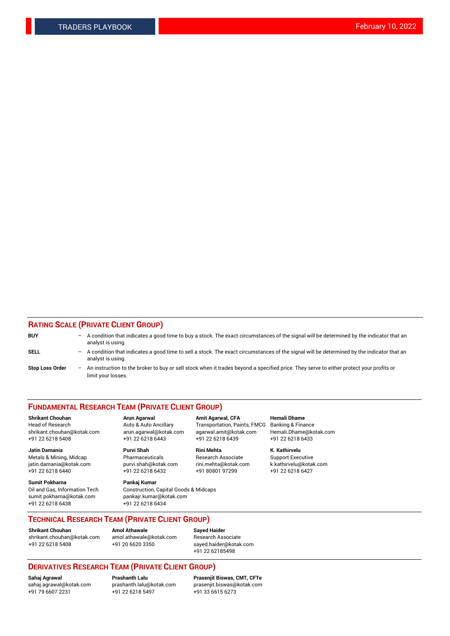# **RATING SCALE (PRIVATE CLIENT GROUP)**

| <b>BUY</b>             | $-$ | A condition that indicates a good time to buy a stock. The exact circumstances of the signal will be determined by the indicator that an<br>analyst is using.    |
|------------------------|-----|------------------------------------------------------------------------------------------------------------------------------------------------------------------|
| <b>SELL</b>            |     | - A condition that indicates a good time to sell a stock. The exact circumstances of the signal will be determined by the indicator that an<br>analyst is using. |
| <b>Stop Loss Order</b> | $-$ | An instruction to the broker to buy or sell stock when it trades beyond a specified price. They serve to either protect your profits or<br>limit your losses.    |

#### **FUNDAMENTAL RESEARCH TEAM (PRIVATE CLIENT GROUP)**

**Shrikant Chouhan Arun Agarwal Amit Agarwal, CFA Hemali Dhame** Head of Research Auto & Auto Ancillary Transportation, Paints, FMCG Banking & Finance shrikant.chouhan@kotak.com arun.agarwal@kotak.com agarwal.amit@kotak.com Hemali.Dhame@kotak.com

**Jatin Damania Purvi Shah Rini Mehta K. Kathirvelu** Metals & Mining, Midcap **Pharmaceuticals** Research Associate Support Executive jatin.damania@kotak.com [purvi.shah@kotak.com](mailto:purvi.shah@kotak.com) rini.mehta@kotak.com [k.kathirvelu@kotak.com](mailto:k.kathirvelu@kotak.com)  $+91$  22 6218 6440  $+91$  22 6218 6432

**Sumit Pokharna Pankaj Kumar** sumit.pokharna@kotak.com pankajr.kumar@kotak.com +91 22 6218 6438 +91 22 6218 6434

Oil and Gas, Information Tech Construction, Capital Goods & Midcaps

+91 22 6218 5408 +91 22 6218 6443 +91 22 6218 6439 +91 22 6218 6433

**TECHNICAL RESEARCH TEAM (PRIVATE CLIENT GROUP)**

[shrikant.chouhan@kotak.com](mailto:shrikant.chouhan@kotak.com) [amol.athawale@kotak.com](mailto:amol.athawale@kotak.com) Research Associate +91 22 6218 5408 +91 20 6620 3350 [sayed.haider@kotak.com](mailto:sayed.haider@kotak.com)

**Shrikant Chouhan Amol Athawale Sayed Haider**

+91 22 62185498

# **DERIVATIVES RESEARCH TEAM (PRIVATE CLIENT GROUP)**

 $+91$  22 6218 5497

**Sahaj Agrawal Prashanth Lalu Prasenjit Biswas, CMT, CFTe** [sahaj.agrawal@kotak.com](mailto:sahaj.agrawal@kotak.com) [prashanth.lalu@kotak.com](mailto:prashanth.lalu@kotak.com) [prasenjit.biswas@kotak.com](mailto:prasenjit.biswas@kotak.com)